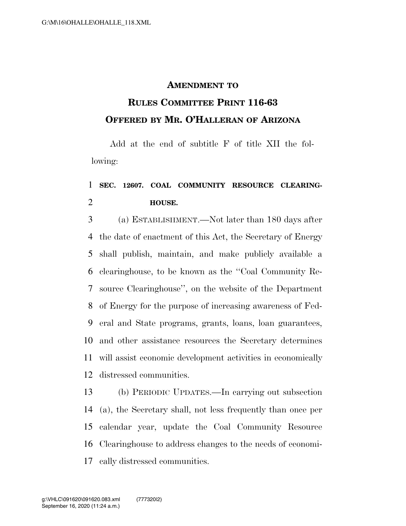## **AMENDMENT TO**

## **RULES COMMITTEE PRINT 116-63 OFFERED BY MR. O'HALLERAN OF ARIZONA**

Add at the end of subtitle F of title XII the following:

## **SEC. 12607. COAL COMMUNITY RESOURCE CLEARING-HOUSE.**

 (a) ESTABLISHMENT.—Not later than 180 days after the date of enactment of this Act, the Secretary of Energy shall publish, maintain, and make publicly available a clearinghouse, to be known as the ''Coal Community Re- source Clearinghouse'', on the website of the Department of Energy for the purpose of increasing awareness of Fed- eral and State programs, grants, loans, loan guarantees, and other assistance resources the Secretary determines will assist economic development activities in economically distressed communities.

 (b) PERIODIC UPDATES.—In carrying out subsection (a), the Secretary shall, not less frequently than once per calendar year, update the Coal Community Resource Clearinghouse to address changes to the needs of economi-cally distressed communities.